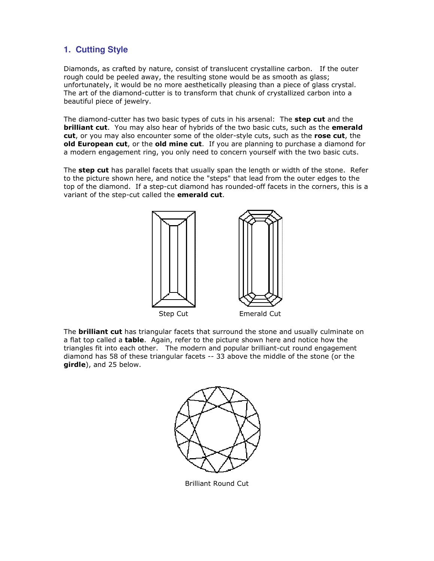# **1. Cutting Style**

Diamonds, as crafted by nature, consist of translucent crystalline carbon. If the outer rough could be peeled away, the resulting stone would be as smooth as glass; unfortunately, it would be no more aesthetically pleasing than a piece of glass crystal. The art of the diamond-cutter is to transform that chunk of crystallized carbon into a beautiful piece of jewelry.

The diamond-cutter has two basic types of cuts in his arsenal: The **step cut** and the **brilliant cut**. You may also hear of hybrids of the two basic cuts, such as the **emerald** cut, or you may also encounter some of the older-style cuts, such as the rose cut, the old European cut, or the old mine cut. If you are planning to purchase a diamond for a modern engagement ring, you only need to concern yourself with the two basic cuts.

The **step cut** has parallel facets that usually span the length or width of the stone. Refer to the picture shown here, and notice the "steps" that lead from the outer edges to the top of the diamond. If a step-cut diamond has rounded-off facets in the corners, this is a variant of the step-cut called the emerald cut.



The **brilliant cut** has triangular facets that surround the stone and usually culminate on a flat top called a **table**. Again, refer to the picture shown here and notice how the triangles fit into each other. The modern and popular brilliant-cut round engagement diamond has 58 of these triangular facets -- 33 above the middle of the stone (or the girdle), and 25 below.



Brilliant Round Cut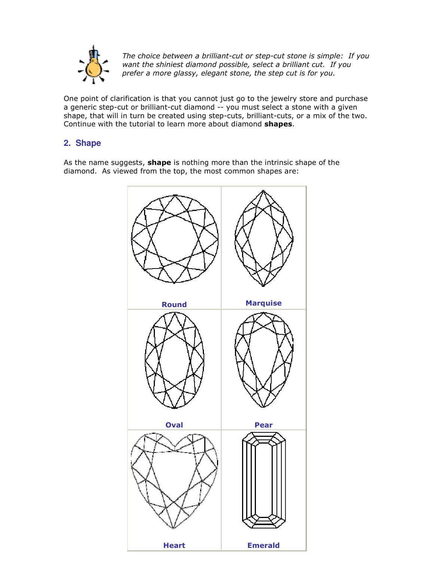

The choice between a brilliant-cut or step-cut stone is simple: If you want the shiniest diamond possible, select a brilliant cut. If you prefer a more glassy, elegant stone, the step cut is for you.

One point of clarification is that you cannot just go to the jewelry store and purchase a generic step-cut or brilliant-cut diamond -- you must select a stone with a given shape, that will in turn be created using step-cuts, brilliant-cuts, or a mix of the two. Continue with the tutorial to learn more about diamond shapes.

## **2. Shape**

As the name suggests, **shape** is nothing more than the intrinsic shape of the diamond. As viewed from the top, the most common shapes are:

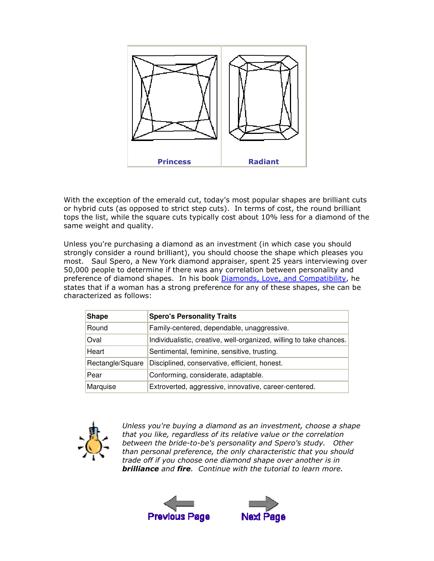

With the exception of the emerald cut, today's most popular shapes are brilliant cuts or hybrid cuts (as opposed to strict step cuts). In terms of cost, the round brilliant tops the list, while the square cuts typically cost about 10% less for a diamond of the same weight and quality.

Unless you're purchasing a diamond as an investment (in which case you should strongly consider a round brilliant), you should choose the shape which pleases you most. Saul Spero, a New York diamond appraiser, spent 25 years interviewing over 50,000 people to determine if there was any correlation between personality and preference of diamond shapes. In his book Diamonds, Love, and Compatibility, he states that if a woman has a strong preference for any of these shapes, she can be characterized as follows:

| <b>Shape</b>     | <b>Spero's Personality Traits</b>                                   |
|------------------|---------------------------------------------------------------------|
| Round            | Family-centered, dependable, unaggressive.                          |
| Oval             | Individualistic, creative, well-organized, willing to take chances. |
| Heart            | Sentimental, feminine, sensitive, trusting.                         |
| Rectangle/Square | Disciplined, conservative, efficient, honest.                       |
| Pear             | Conforming, considerate, adaptable.                                 |
| Marquise         | Extroverted, aggressive, innovative, career-centered.               |



Unless you're buying a diamond as an investment, choose a shape that you like, regardless of its relative value or the correlation between the bride-to-be's personality and Spero's study. Other than personal preference, the only characteristic that you should trade off if you choose one diamond shape over another is in **brilliance** and **fire**. Continue with the tutorial to learn more.



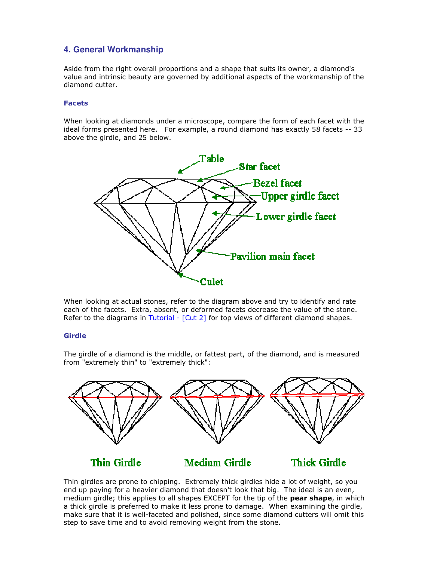## **4. General Workmanship**

Aside from the right overall proportions and a shape that suits its owner, a diamond's value and intrinsic beauty are governed by additional aspects of the workmanship of the diamond cutter.

#### Facets

When looking at diamonds under a microscope, compare the form of each facet with the ideal forms presented here. For example, a round diamond has exactly 58 facets -- 33 above the girdle, and 25 below.



When looking at actual stones, refer to the diagram above and try to identify and rate each of the facets. Extra, absent, or deformed facets decrease the value of the stone. Refer to the diagrams in  $Tutorial - [Cut 2]$  for top views of different diamond shapes.

#### Girdle

The girdle of a diamond is the middle, or fattest part, of the diamond, and is measured from "extremely thin" to "extremely thick":



Thin girdles are prone to chipping. Extremely thick girdles hide a lot of weight, so you end up paying for a heavier diamond that doesn't look that big. The ideal is an even, medium girdle; this applies to all shapes EXCEPT for the tip of the **pear shape**, in which a thick girdle is preferred to make it less prone to damage. When examining the girdle, make sure that it is well-faceted and polished, since some diamond cutters will omit this step to save time and to avoid removing weight from the stone.